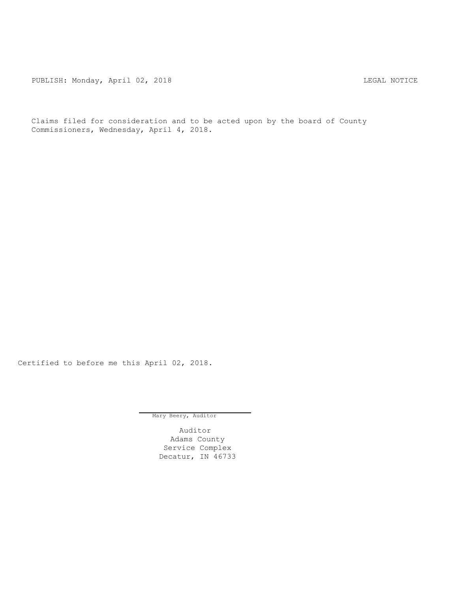PUBLISH: Monday, April 02, 2018 CHANGE CONSERVATION CONTRACT MOTICE

Claims filed for consideration and to be acted upon by the board of County Commissioners, Wednesday, April 4, 2018.

Certified to before me this April 02, 2018.

Mary Beery, Auditor

Auditor Adams County Service Complex Decatur, IN 46733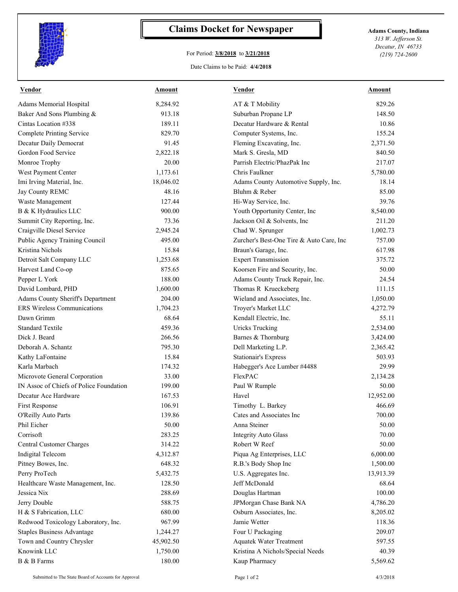

## **Claims Docket for Newspaper Adams County, Indiana**

## For Period: **3/8/2018** to **3/21/2018**

*313 W. Jefferson St. Decatur, IN 46733 (219) 724-2600*

Date Claims to be Paid: **4/4/2018**

| <b>Vendor</b>                           | Amount    | <b>Vendor</b>                            | Amount    |
|-----------------------------------------|-----------|------------------------------------------|-----------|
| Adams Memorial Hospital                 | 8,284.92  | AT & T Mobility                          | 829.26    |
| Baker And Sons Plumbing &               | 913.18    | Suburban Propane LP                      | 148.50    |
| Cintas Location #338                    | 189.11    | Decatur Hardware & Rental                | 10.86     |
| <b>Complete Printing Service</b>        | 829.70    | Computer Systems, Inc.                   | 155.24    |
| Decatur Daily Democrat                  | 91.45     | Fleming Excavating, Inc.                 | 2,371.50  |
| Gordon Food Service                     | 2,822.18  | Mark S. Gresla, MD                       | 840.50    |
| Monroe Trophy                           | 20.00     | Parrish Electric/PhazPak Inc             | 217.07    |
| West Payment Center                     | 1,173.61  | Chris Faulkner                           | 5,780.00  |
| Imi Irving Material, Inc.               | 18,046.02 | Adams County Automotive Supply, Inc.     | 18.14     |
| Jay County REMC                         | 48.16     | Bluhm & Reber                            | 85.00     |
| Waste Management                        | 127.44    | Hi-Way Service, Inc.                     | 39.76     |
| B & K Hydraulics LLC                    | 900.00    | Youth Opportunity Center, Inc            | 8,540.00  |
| Summit City Reporting, Inc.             | 73.36     | Jackson Oil & Solvents, Inc              | 211.20    |
| Craigville Diesel Service               | 2,945.24  | Chad W. Sprunger                         | 1,002.73  |
| Public Agency Training Council          | 495.00    | Zurcher's Best-One Tire & Auto Care, Inc | 757.00    |
| Kristina Nichols                        | 15.84     | Braun's Garage, Inc.                     | 617.98    |
| Detroit Salt Company LLC                | 1,253.68  | <b>Expert Transmission</b>               | 375.72    |
| Harvest Land Co-op                      | 875.65    | Koorsen Fire and Security, Inc.          | 50.00     |
| Pepper L York                           | 188.00    | Adams County Truck Repair, Inc.          | 24.54     |
| David Lombard, PHD                      | 1,600.00  | Thomas R Krueckeberg                     | 111.15    |
| Adams County Sheriff's Department       | 204.00    | Wieland and Associates, Inc.             | 1,050.00  |
| <b>ERS</b> Wireless Communications      | 1,704.23  | Troyer's Market LLC                      | 4,272.79  |
| Dawn Grimm                              | 68.64     | Kendall Electric, Inc.                   | 55.11     |
| <b>Standard Textile</b>                 | 459.36    | <b>Uricks Trucking</b>                   | 2,534.00  |
| Dick J. Beard                           | 266.56    | Barnes & Thornburg                       | 3,424.00  |
| Deborah A. Schantz                      | 795.30    | Dell Marketing L.P.                      | 2,365.42  |
| Kathy LaFontaine                        | 15.84     | <b>Stationair's Express</b>              | 503.93    |
| Karla Marbach                           | 174.32    | Habegger's Ace Lumber #4488              | 29.99     |
| Microvote General Corporation           | 33.00     | FlexPAC                                  | 2,134.28  |
| IN Assoc of Chiefs of Police Foundation | 199.00    | Paul W Rumple                            | 50.00     |
| Decatur Ace Hardware                    | 167.53    | Havel                                    | 12,952.00 |
| First Response                          | 106.91    | Timothy L. Barkey                        | 466.69    |
| O'Reilly Auto Parts                     | 139.86    | Cates and Associates Inc                 | 700.00    |
| Phil Eicher                             | 50.00     | Anna Steiner                             | 50.00     |
| Corrisoft                               | 283.25    | <b>Integrity Auto Glass</b>              | 70.00     |
| Central Customer Charges                | 314.22    | Robert W Reef                            | 50.00     |
| <b>Indigital Telecom</b>                | 4,312.87  | Piqua Ag Enterprises, LLC                | 6,000.00  |
| Pitney Bowes, Inc.                      | 648.32    | R.B.'s Body Shop Inc                     | 1,500.00  |
| Perry ProTech                           | 5,432.75  | U.S. Aggregates Inc.                     | 13,913.39 |
| Healthcare Waste Management, Inc.       | 128.50    | Jeff McDonald                            | 68.64     |
| Jessica Nix                             | 288.69    | Douglas Hartman                          | 100.00    |
| Jerry Double                            | 588.75    | JPMorgan Chase Bank NA                   | 4,786.20  |
| H & S Fabrication, LLC                  | 680.00    | Osburn Associates, Inc.                  | 8,205.02  |
| Redwood Toxicology Laboratory, Inc.     | 967.99    | Jamie Wetter                             | 118.36    |
| <b>Staples Business Advantage</b>       | 1,244.27  | Four U Packaging                         | 209.07    |
| Town and Country Chrysler               | 45,902.50 | <b>Aquatek Water Treatment</b>           | 597.55    |
| Knowink LLC                             | 1,750.00  | Kristina A Nichols/Special Needs         | 40.39     |
| B & B Farms                             | 180.00    | Kaup Pharmacy                            | 5,569.62  |